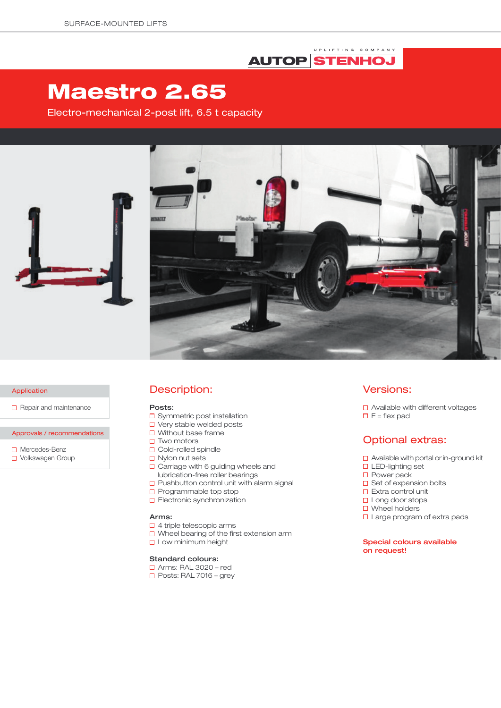# UPLIFTING COMPANY **AUTOP STENHOJ**

# Maestro 2.65

Electro-mechanical 2-post lift, 6.5 t capacity





#### Application

 $\Box$  Repair and maintenance

Approvals / recommendations

□ Mercedes-Benz □ Volkswagen Group

## Description:

#### Posts:

- □ Symmetric post installation
- □ Very stable welded posts
- $\Box$  Without base frame
- $\square$  Two motors
- □ Cold-rolled spindle
- $\Box$  Nylon nut sets
- $\Box$  Carriage with 6 guiding wheels and lubrication-free roller bearings
- $\square$  Pushbutton control unit with alarm signal
- $\square$  Programmable top stop
- **D** Electronic synchronization

## Arms:

- □ 4 triple telescopic arms
- $\square$  Wheel bearing of the first extension arm
- **Low minimum height**

## Standard colours:

- Arms: RAL 3020 red
- $\Box$  Posts: RAL 7016 grev

## Versions:

□ Available with different voltages  $\Box$  F = flex pad

# Optional extras:

- $\Box$  Available with portal or in-ground kit
- □ LED-lighting set
- □ Power pack
- $\square$  Set of expansion bolts
- $\Box$  Extra control unit
- □ Long door stops
- □ Wheel holders
- □ Large program of extra pads

## Special colours available on request!